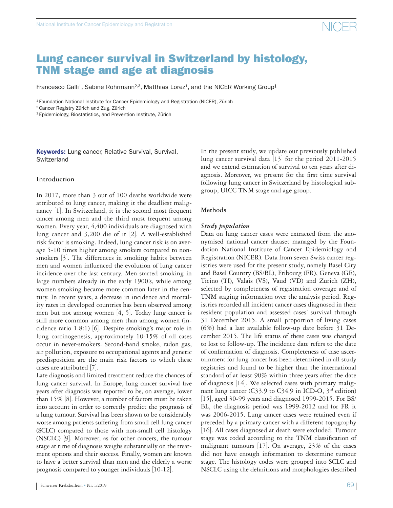### Lung cancer survival in Switzerland by histology, TNM stage and age at diagnosis

Francesco Galli<sup>1</sup>, Sabine Rohrmann<sup>2,3</sup>, Matthias Lorez<sup>1</sup>, and the NICER Working Group<sup>§</sup>

<sup>1</sup> Foundation National Institute for Cancer Epidemiology and Registration (NICER), Zürich

2 Cancer Registry Zürich and Zug, Zürich

3 Epidemiology, Biostatistics, and Prevention Institute, Zürich

**Keywords:** Lung cancer, Relative Survival, Survival, **Switzerland** 

#### **Introduction**

In 2017, more than 3 out of 100 deaths worldwide were attributed to lung cancer, making it the deadliest malignancy [1]. In Switzerland, it is the second most frequent cancer among men and the third most frequent among women. Every year, 4,400 individuals are diagnosed with lung cancer and 3,200 die of it [2]. A well-established risk factor is smoking. Indeed, lung cancer risk is on average 5-10 times higher among smokers compared to nonsmokers [3]. The differences in smoking habits between men and women influenced the evolution of lung cancer incidence over the last century. Men started smoking in large numbers already in the early 1900's, while among women smoking became more common later in the century. In recent years, a decrease in incidence and mortality rates in developed countries has been observed among men but not among women  $[4, 5]$ . Today lung cancer is still more common among men than among women (incidence ratio 1.8:1) [6]. Despite smoking's major role in lung carcinogenesis, approximately 10-15% of all cases occur in never-smokers. Second-hand smoke, radon gas, air pollution, exposure to occupational agents and genetic predisposition are the main risk factors to which these cases are attributed [7].

Late diagnosis and limited treatment reduce the chances of lung cancer survival. In Europe, lung cancer survival five years after diagnosis was reported to be, on average, lower than 15% [8]. However, a number of factors must be taken into account in order to correctly predict the prognosis of a lung tumour. Survival has been shown to be considerably worse among patients suffering from small cell lung cancer (SCLC) compared to those with non-small cell histology (NSCLC) [9]. Moreover, as for other cancers, the tumour stage at time of diagnosis weighs substantially on the treatment options and their success. Finally, women are known to have a better survival than men and the elderly a worse prognosis compared to younger individuals [10-12].

In the present study, we update our previously published lung cancer survival data [13] for the period 2011-2015 and we extend estimation of survival to ten years after diagnosis. Moreover, we present for the first time survival following lung cancer in Switzerland by histological subgroup, UICC TNM stage and age group.

#### **Methods**

#### *Study population*

Data on lung cancer cases were extracted from the anonymised national cancer dataset managed by the Foundation National Institute of Cancer Epidemiology and Registration (NICER). Data from seven Swiss cancer registries were used for the present study, namely Basel City and Basel Country (BS/BL), Fribourg (FR), Geneva (GE), Ticino (TI), Valais (VS), Vaud (VD) and Zurich (ZH), selected by completeness of registration coverage and of TNM staging information over the analysis period. Registries recorded all incident cancer cases diagnosed in their resident population and assessed cases' survival through 31 December 2015. A small proportion of living cases (6%) had a last available follow-up date before 31 December 2015. The life status of these cases was changed to lost to follow-up. The incidence date refers to the date of confirmation of diagnosis. Completeness of case ascertainment for lung cancer has been determined in all study registries and found to be higher than the international standard of at least 90% within three years after the date of diagnosis [14]. We selected cases with primary malignant lung cancer (C33.9 to C34.9 in ICD-O,  $3^{rd}$  edition) [15], aged 30-99 years and diagnosed 1999-2015. For BS/ BL, the diagnosis period was 1999-2012 and for FR it was 2006-2015. Lung cancer cases were retained even if preceded by a primary cancer with a different topography [16]. All cases diagnosed at death were excluded. Tumour stage was coded according to the TNM classification of malignant tumours [17]. On average, 23% of the cases did not have enough information to determine tumour stage. The histology codes were grouped into SCLC and NSCLC using the definitions and morphologies described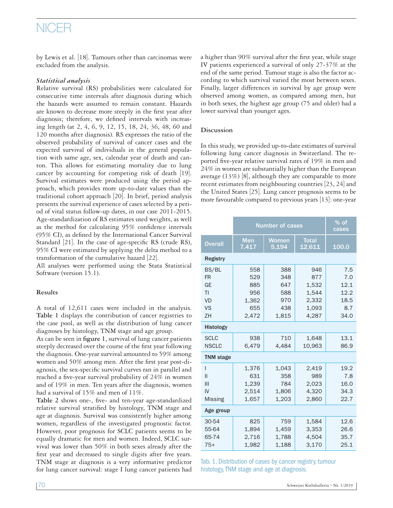## NICER

by Lewis et al. [18]. Tumours other than carcinomas were excluded from the analysis.

### *Statistical analysis*

Relative survival (RS) probabilities were calculated for consecutive time intervals after diagnosis during which the hazards were assumed to remain constant. Hazards are known to decrease more steeply in the first year after diagnosis; therefore, we defined intervals with increasing length (at 2, 4, 6, 9, 12, 15, 18, 24, 36, 48, 60 and 120 months after diagnosis). RS expresses the ratio of the observed probability of survival of cancer cases and the expected survival of individuals in the general population with same age, sex, calendar year of death and canton. This allows for estimating mortality due to lung cancer by accounting for competing risk of death [19]. Survival estimates were produced using the period approach, which provides more up-to-date values than the traditional cohort approach [20]. In brief, period analysis presents the survival experience of cases selected by a period of vital status follow-up dates, in our case 2011-2015. Age-standardization of RS estimates used weights, as well as the method for calculating 95% confidence intervals (95% CI), as defined by the International Cancer Survival Standard [21]. In the case of age-specific RS (crude RS), 95% CI were estimated by applying the delta method to a transformation of the cumulative hazard [22].

All analyses were performed using the Stata Statistical Software (version 15.1).

#### **Results**

A total of 12,611 cases were included in the analysis. **Table 1** displays the contribution of cancer registries to the case pool, as well as the distribution of lung cancer diagnoses by histology, TNM stage and age group.

As can be seen in **figure 1**, survival of lung cancer patients steeply decreased over the course of the first year following the diagnosis. One-year survival amounted to 59% among women and 50% among men. After the first year post-diagnosis, the sex-specific survival curves ran in parallel and reached a five-year survival probability of 24% in women and of 19% in men. Ten years after the diagnosis, women had a survival of 15% and men of 11%.

**Table 2** shows one-, five- and ten-year age-standardized relative survival stratified by histology, TNM stage and age at diagnosis. Survival was consistently higher among women, regardless of the investigated prognostic factor. However, poor prognosis for SCLC patients seems to be equally dramatic for men and women. Indeed, SCLC survival was lower than 50% in both sexes already after the first year and decreased to single digits after five years. TNM stage at diagnosis is a very informative predictor for lung cancer survival: stage I lung cancer patients had

a higher than 90% survival after the first year, while stage IV patients experienced a survival of only 27-37% at the end of the same period. Tumour stage is also the factor according to which survival varied the most between sexes. Finally, larger differences in survival by age group were observed among women, as compared among men, but in both sexes, the highest age group (75 and older) had a lower survival than younger ages.

### **Discussion**

In this study, we provided up-to-date estimates of survival following lung cancer diagnosis in Switzerland. The reported five-year relative survival rates of 19% in men and 24% in women are substantially higher than the European average (13%) [8], although they are comparable to more recent estimates from neighbouring countries [23, 24] and the United States [25]. Lung cancer prognosis seems to be more favourable compared to previous years [13]: one-year

|                                                          | <b>Number of cases</b>                   | $%$ of<br>cases                        |                                                |                                           |  |  |  |  |  |  |  |
|----------------------------------------------------------|------------------------------------------|----------------------------------------|------------------------------------------------|-------------------------------------------|--|--|--|--|--|--|--|
| <b>Overall</b>                                           | <b>Men</b><br>7,417                      | Women<br>5,194                         | <b>Total</b><br>12,611                         | 100.0                                     |  |  |  |  |  |  |  |
| <b>Registry</b>                                          |                                          |                                        |                                                |                                           |  |  |  |  |  |  |  |
| BS/BL<br><b>FR</b><br>GE<br>TI<br><b>VD</b><br><b>VS</b> | 558<br>529<br>885<br>956<br>1,362<br>655 | 388<br>348<br>647<br>588<br>970<br>438 | 946<br>877<br>1,532<br>1.544<br>2,332<br>1,093 | 7.5<br>7.0<br>12.1<br>12.2<br>18.5<br>8.7 |  |  |  |  |  |  |  |
| ZH<br>2.472<br>1.815<br>4,287<br>34.0                    |                                          |                                        |                                                |                                           |  |  |  |  |  |  |  |
| <b>Histology</b>                                         |                                          |                                        |                                                |                                           |  |  |  |  |  |  |  |
| <b>SCLC</b><br><b>NSCLC</b>                              | 938<br>6,479                             | 710<br>4,484                           | 1.648<br>10,963                                | 13.1<br>86.9                              |  |  |  |  |  |  |  |
| <b>TNM</b> stage                                         |                                          |                                        |                                                |                                           |  |  |  |  |  |  |  |
| ı<br>Ш<br>Ш<br>IV<br><b>Missing</b>                      | 1,376<br>631<br>1,239<br>2,514<br>1,657  | 1,043<br>358<br>784<br>1,806<br>1,203  | 2,419<br>989<br>2.023<br>4,320<br>2,860        | 19.2<br>7.8<br>16.0<br>34.3<br>22.7       |  |  |  |  |  |  |  |
| Age group                                                |                                          |                                        |                                                |                                           |  |  |  |  |  |  |  |
| 30-54<br>55-64<br>65-74<br>$75+$                         | 825<br>1,894<br>2,716<br>1.982           | 759<br>1,459<br>1,788<br>1.188         | 1,584<br>3,353<br>4,504<br>3.170               | 12.6<br>26.6<br>35.7<br>25.1              |  |  |  |  |  |  |  |

Tab. 1. Distribution of cases by cancer registry, tumour histology, TNM stage and age at diagnosis.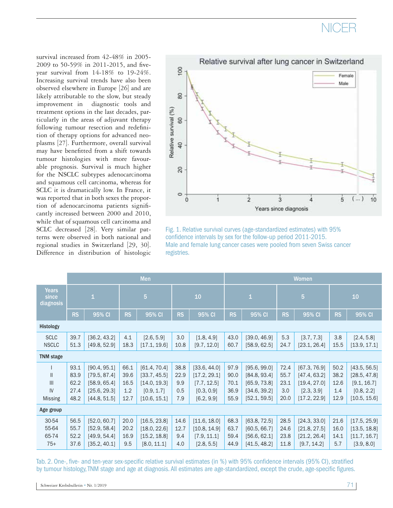# **NICFR**

survival increased from 42-48% in 2005- 2009 to 50-59% in 2011-2015, and fiveyear survival from 14-18% to 19-24%. Increasing survival trends have also been observed elsewhere in Europe [26] and are likely attributable to the slow, but steady improvement in diagnostic tools and treatment options in the last decades, particularly in the areas of adjuvant therapy following tumour resection and redefinition of therapy options for advanced neoplasms [27]. Furthermore, overall survival may have benefitted from a shift towards tumour histologies with more favourable prognosis. Survival is much higher for the NSCLC subtypes adenocarcinoma and squamous cell carcinoma, whereas for SCLC it is dramatically low. In France, it was reported that in both sexes the proportion of adenocarcinoma patients significantly increased between 2000 and 2010, while that of squamous cell carcinoma and SCLC decreased [28]. Very similar patterns were observed in both national and regional studies in Switzerland [29, 30]. Difference in distribution of histologic



Fig. 1. Relative survival curves (age-standardized estimates) with 95% confidence intervals by sex for the follow-up period 2011-2015. Male and female lung cancer cases were pooled from seven Swiss cancer registries.

|                                             | Men                                  |                                                                              |                                     |                                                                            |                                   | Women                                                                   |                                      |                                                                              |                                     |                                                                            |                                     |                                                                           |  |
|---------------------------------------------|--------------------------------------|------------------------------------------------------------------------------|-------------------------------------|----------------------------------------------------------------------------|-----------------------------------|-------------------------------------------------------------------------|--------------------------------------|------------------------------------------------------------------------------|-------------------------------------|----------------------------------------------------------------------------|-------------------------------------|---------------------------------------------------------------------------|--|
| <b>Years</b><br>since<br>diagnosis          | $\mathbf 1$                          |                                                                              | $\overline{5}$                      |                                                                            |                                   | 10                                                                      |                                      | $\mathbf 1$                                                                  |                                     | $\overline{5}$                                                             |                                     | 10                                                                        |  |
|                                             | <b>RS</b>                            | $95\%$ CI                                                                    | <b>RS</b>                           | 95% CI                                                                     | <b>RS</b>                         | 95% CI                                                                  | <b>RS</b>                            | 95% CI                                                                       | RS                                  | 95% CI                                                                     | <b>RS</b>                           | 95% CI                                                                    |  |
| Histology                                   |                                      |                                                                              |                                     |                                                                            |                                   |                                                                         |                                      |                                                                              |                                     |                                                                            |                                     |                                                                           |  |
| <b>SCLC</b><br><b>NSCLC</b>                 | 39.7<br>51.3                         | [36.2, 43.2]<br>[49.8, 52.9]                                                 | 4.1<br>18.3                         | [2.6, 5.9]<br>[17.1, 19.6]                                                 | 3.0<br>10.8                       | [1.8, 4.9]<br>[9.7, 12.0]                                               | 43.0<br>60.7                         | [39.0, 46.9]<br>[58.9, 62.5]                                                 | 5.3<br>24.7                         | [3.7, 7.3]<br>[23.1, 26.4]                                                 | 3.8<br>15.5                         | [2.4, 5.8]<br>[13.9, 17.1]                                                |  |
| <b>TNM</b> stage                            |                                      |                                                                              |                                     |                                                                            |                                   |                                                                         |                                      |                                                                              |                                     |                                                                            |                                     |                                                                           |  |
| $\mathbf{I}$<br>III<br>IV<br><b>Missing</b> | 93.1<br>83.9<br>62.2<br>27.4<br>48.2 | [90.4, 95.1]<br>[79.5, 87.4]<br>[58.9, 65.4]<br>[25.6, 29.3]<br>[44.8, 51.5] | 66.1<br>39.6<br>16.5<br>1.2<br>12.7 | [61.4, 70.4]<br>[33.7, 45.5]<br>[14.0, 19.3]<br>[0.9, 1.7]<br>[10.6, 15.1] | 38.8<br>22.9<br>9.9<br>0.5<br>7.9 | [33.6, 44.0]<br>[17.2, 29.1]<br>[7.7, 12.5]<br>[0.3, 0.9]<br>[6.2, 9.9] | 97.9<br>90.0<br>70.1<br>36.9<br>55.9 | [95.6, 99.0]<br>[84.8, 93.4]<br>[65.9, 73.8]<br>[34.6, 39.2]<br>[52.1, 59.5] | 72.4<br>55.7<br>23.1<br>3.0<br>20.0 | [67.3, 76.9]<br>[47.4, 63.2]<br>[19.4, 27.0]<br>[2.3, 3.9]<br>[17.2, 22.9] | 50.2<br>38.2<br>12.6<br>1.4<br>12.9 | [43.5, 56.5]<br>[28.5, 47.8]<br>[9.1, 16.7]<br>[0.8, 2.2]<br>[10.5, 15.6] |  |
| Age group                                   |                                      |                                                                              |                                     |                                                                            |                                   |                                                                         |                                      |                                                                              |                                     |                                                                            |                                     |                                                                           |  |
| 30-54<br>55-64<br>65-74<br>$75+$            | 56.5<br>55.7<br>52.2<br>37.6         | [52.0, 60.7]<br>[52.9, 58.4]<br>[49.9, 54.4]<br>[35.2, 40.1]                 | 20.0<br>20.2<br>16.9<br>9.5         | [16.5, 23.8]<br>[18.0, 22.6]<br>[15.2, 18.8]<br>[8.0, 11.1]                | 14.6<br>12.7<br>9.4<br>4.0        | [11.6, 18.0]<br>[10.8, 14.9]<br>[7.9, 11.1]<br>[2.8, 5.5]               | 68.3<br>63.7<br>59.4<br>44.9         | [63.8, 72.5]<br>[60.5, 66.7]<br>[56.6, 62.1]<br>[41.5, 48.2]                 | 28.5<br>24.6<br>23.8<br>11.8        | [24.3, 33.0]<br>[21.8, 27.5]<br>[21.2, 26.4]<br>[9.7, 14.2]                | 21.6<br>16.0<br>14.1<br>5.7         | [17.5, 25.9]<br>[13.5, 18.8]<br>[11.7, 16.7]<br>[3.9, 8.0]                |  |

Tab. 2. One-, five- and ten-year sex-specific relative survival estimates (in %) with 95% confidence intervals (95% CI), stratified by tumour histology, TNM stage and age at diagnosis. All estimates are age-standardized, except the crude, age-specific figures.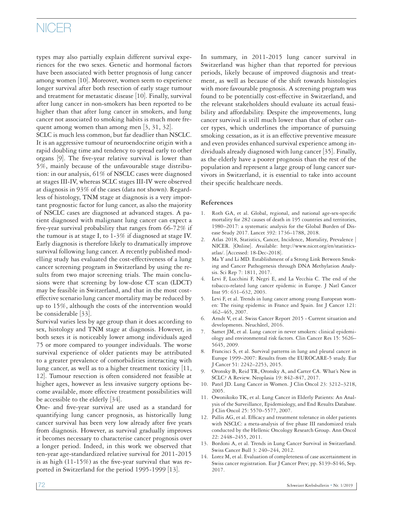# NICER

types may also partially explain different survival experiences for the two sexes. Genetic and hormonal factors have been associated with better prognosis of lung cancer among women [10]. Moreover, women seem to experience longer survival after both resection of early stage tumour and treatment for metastatic disease [10]. Finally, survival after lung cancer in non-smokers has been reported to be higher than that after lung cancer in smokers, and lung cancer not associated to smoking habits is much more frequent among women than among men [3, 31, 32].

SCLC is much less common, but far deadlier than NSCLC. It is an aggressive tumour of neuroendocrine origin with a rapid doubling time and tendency to spread early to other organs [9]. The five-year relative survival is lower than 5%, mainly because of the unfavourable stage distribution: in our analysis, 61% of NSCLC cases were diagnosed at stages III-IV, whereas SCLC stages III-IV were observed at diagnosis in 93% of the cases (data not shown). Regardless of histology, TNM stage at diagnosis is a very important prognostic factor for lung cancer, as also the majority of NSCLC cases are diagnosed at advanced stages. A patient diagnosed with malignant lung cancer can expect a five-year survival probability that ranges from 66-72% if the tumour is at stage I, to 1-3% if diagnosed at stage IV. Early diagnosis is therefore likely to dramatically improve survival following lung cancer. A recently published modelling study has evaluated the cost-effectiveness of a lung cancer screening program in Switzerland by using the results from two major screening trials. The main conclusions were that screening by low-dose CT scan (LDCT) may be feasible in Switzerland, and that in the most costeffective scenario lung cancer mortality may be reduced by up to 15%, although the costs of the intervention would be considerable [33].

Survival varies less by age group than it does according to sex, histology and TNM stage at diagnosis. However, in both sexes it is noticeably lower among individuals aged 75 or more compared to younger individuals. The worse survival experience of older patients may be attributed to a greater prevalence of comorbidities interacting with lung cancer, as well as to a higher treatment toxicity  $|11$ , 12]. Tumour resection is often considered not feasible at higher ages, however as less invasive surgery options become available, more effective treatment possibilities will be accessible to the elderly [34].

One- and five-year survival are used as a standard for quantifying lung cancer prognosis, as historically lung cancer survival has been very low already after five years from diagnosis. However, as survival gradually improves it becomes necessary to characterise cancer prognosis over a longer period. Indeed, in this work we observed that ten-year age-standardized relative survival for 2011-2015 is as high (11-15%) as the five-year survival that was reported in Switzerland for the period 1995-1999 [13].

In summary, in 2011-2015 lung cancer survival in Switzerland was higher than that reported for previous periods, likely because of improved diagnosis and treatment, as well as because of the shift towards histologies with more favourable prognosis. A screening program was found to be potentially cost-effective in Switzerland, and the relevant stakeholders should evaluate its actual feasibility and affordability. Despite the improvements, lung cancer survival is still much lower than that of other cancer types, which underlines the importance of pursuing smoking cessation, as it is an effective preventive measure and even provides enhanced survival experience among individuals already diagnosed with lung cancer [35]. Finally, as the elderly have a poorer prognosis than the rest of the population and represent a large group of lung cancer survivors in Switzerland, it is essential to take into account their specific healthcare needs.

### **References**

- 1. Roth GA, et al. Global, regional, and national age-sex-specific mortality for 282 causes of death in 195 countries and territories, 1980–2017: a systematic analysis for the Global Burden of Disease Study 2017. Lancet 392: 1736–1788, 2018.
- 2. Atlas 2018, Statistics, Cancer, Incidence, Mortality, Prevalence | NICER. [Online]. Available: http://www.nicer.org/en/statisticsatlas/. [Accessed: 18-Dec-2018].
- 3. Ma Y and Li MD. Establishment of a Strong Link Between Smoking and Cancer Pathogenesis through DNA Methylation Analysis. Sci Rep 7: 1811, 2017.
- 4. Levi F, Lucchini F, Negri E, and La Vecchia C. The end of the tobacco-related lung cancer epidemic in Europe. J Natl Cancer Inst 95: 631–632, 2003.
- 5. Levi F, et al. Trends in lung cancer among young European women: The rising epidemic in France and Spain. Int J Cancer 121: 462–465, 2007.
- 6. Arndt V, et al. Swiss Cancer Report 2015 Current situation and developments. Neuchâtel, 2016.
- 7. Samet JM, et al. Lung cancer in never smokers: clinical epidemiology and environmental risk factors. Clin Cancer Res 15: 5626– 5645, 2009.
- Francisci S, et al. Survival patterns in lung and pleural cancer in Europe 1999–2007: Results from the EUROCARE-5 study. Eur J Cancer 51: 2242–2253, 2015.
- 9. Oronsky B, Reid TR, Oronsky A, and Carter CA. What's New in SCLC? A Review. Neoplasia 19: 842–847, 2017.
- 10. Patel JD. Lung Cancer in Women. J Clin Oncol 23: 3212–3218, 2005.
- 11. Owonikoko TK, et al. Lung Cancer in Elderly Patients: An Analysis of the Surveillance, Epidemiology, and End Results Database. J Clin Oncol 25: 5570–5577, 2007.
- 12. Pallis AG, et al. Efficacy and treatment tolerance in older patients with NSCLC: a meta-analysis of five phase III randomized trials conducted by the Hellenic Oncology Research Group. Ann Oncol 22: 2448–2455, 2011.
- 13. Bordoni A, et al. Trends in Lung Cancer Survival in Switzerland. Swiss Cancer Bull 3: 240–244, 2012.
- 14. Lorez M, et al. Evaluation of completeness of case ascertainment in Swiss cancer registration. Eur J Cancer Prev; pp. S139–S146, Sep. 2017.